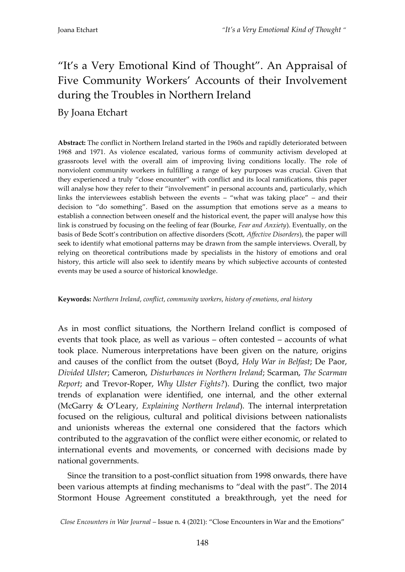# "It's a Very Emotional Kind of Thought". An Appraisal of Five Community Workers' Accounts of their Involvement during the Troubles in Northern Ireland

By Joana Etchart

**Abstract:** The conflict in Northern Ireland started in the 1960s and rapidly deteriorated between 1968 and 1971. As violence escalated, various forms of community activism developed at grassroots level with the overall aim of improving living conditions locally. The role of nonviolent community workers in fulfilling a range of key purposes was crucial. Given that they experienced a truly "close encounter" with conflict and its local ramifications, this paper will analyse how they refer to their "involvement" in personal accounts and, particularly, which links the interviewees establish between the events – "what was taking place" – and their decision to "do something". Based on the assumption that emotions serve as a means to establish a connection between oneself and the historical event, the paper will analyse how this link is construed by focusing on the feeling of fear (Bourke, *Fear and Anxiety*). Eventually, on the basis of Bede Scott's contribution on affective disorders (Scott, *Affective Disorders*), the paper will seek to identify what emotional patterns may be drawn from the sample interviews. Overall, by relying on theoretical contributions made by specialists in the history of emotions and oral history, this article will also seek to identify means by which subjective accounts of contested events may be used a source of historical knowledge.

#### **Keywords:** *Northern Ireland*, *conflict*, *community workers*, *history of emotions*, *oral history*

As in most conflict situations, the Northern Ireland conflict is composed of events that took place, as well as various – often contested – accounts of what took place. Numerous interpretations have been given on the nature, origins and causes of the conflict from the outset (Boyd, *Holy War in Belfast*; De Paor, *Divided Ulster*; Cameron, *Disturbances in Northern Ireland*; Scarman, *The Scarman Report*; and Trevor-Roper, *Why Ulster Fights?*). During the conflict, two major trends of explanation were identified, one internal, and the other external (McGarry & O'Leary, *Explaining Northern Ireland*). The internal interpretation focused on the religious, cultural and political divisions between nationalists and unionists whereas the external one considered that the factors which contributed to the aggravation of the conflict were either economic, or related to international events and movements, or concerned with decisions made by national governments.

Since the transition to a post-conflict situation from 1998 onwards, there have been various attempts at finding mechanisms to "deal with the past". The 2014 Stormont House Agreement constituted a breakthrough, yet the need for

*Close Encounters in War Journal* – Issue n. 4 (2021): "Close Encounters in War and the Emotions"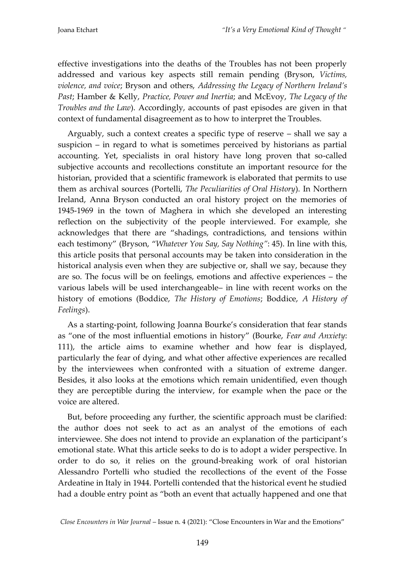effective investigations into the deaths of the Troubles has not been properly addressed and various key aspects still remain pending (Bryson, *Victims, violence, and voice*; Bryson and others, *Addressing the Legacy of Northern Ireland's Past*; Hamber & Kelly, *Practice, Power and Inertia*; and McEvoy, *The Legacy of the Troubles and the Law*). Accordingly, accounts of past episodes are given in that context of fundamental disagreement as to how to interpret the Troubles.

Arguably, such a context creates a specific type of reserve – shall we say a suspicion – in regard to what is sometimes perceived by historians as partial accounting. Yet, specialists in oral history have long proven that so-called subjective accounts and recollections constitute an important resource for the historian, provided that a scientific framework is elaborated that permits to use them as archival sources (Portelli, *The Peculiarities of Oral History*). In Northern Ireland, Anna Bryson conducted an oral history project on the memories of 1945-1969 in the town of Maghera in which she developed an interesting reflection on the subjectivity of the people interviewed. For example, she acknowledges that there are "shadings, contradictions, and tensions within each testimony" (Bryson, "*Whatever You Say, Say Nothing"*: 45). In line with this, this article posits that personal accounts may be taken into consideration in the historical analysis even when they are subjective or, shall we say, because they are so. The focus will be on feelings, emotions and affective experiences – the various labels will be used interchangeable– in line with recent works on the history of emotions (Boddice, *The History of Emotions*; Boddice, *A History of Feelings*).

As a starting-point, following Joanna Bourke's consideration that fear stands as "one of the most influential emotions in history" (Bourke, *Fear and Anxiety*: 111), the article aims to examine whether and how fear is displayed, particularly the fear of dying, and what other affective experiences are recalled by the interviewees when confronted with a situation of extreme danger. Besides, it also looks at the emotions which remain unidentified, even though they are perceptible during the interview, for example when the pace or the voice are altered.

But, before proceeding any further, the scientific approach must be clarified: the author does not seek to act as an analyst of the emotions of each interviewee. She does not intend to provide an explanation of the participant's emotional state. What this article seeks to do is to adopt a wider perspective. In order to do so, it relies on the ground-breaking work of oral historian Alessandro Portelli who studied the recollections of the event of the Fosse Ardeatine in Italy in 1944. Portelli contended that the historical event he studied had a double entry point as "both an event that actually happened and one that

*Close Encounters in War Journal* – Issue n. 4 (2021): "Close Encounters in War and the Emotions"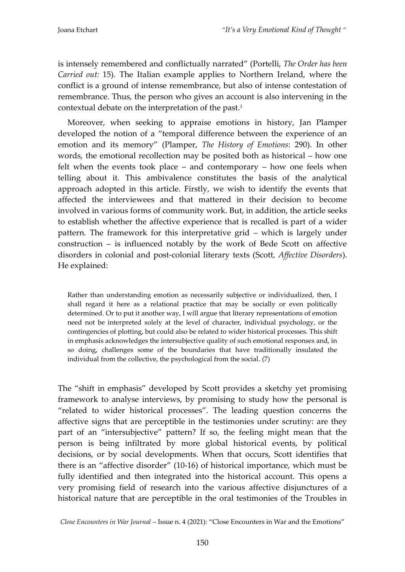is intensely remembered and conflictually narrated" (Portelli, *The Order has been Carried out:* 15). The Italian example applies to Northern Ireland, where the conflict is a ground of intense remembrance, but also of intense contestation of remembrance. Thus, the person who gives an account is also intervening in the contextual debate on the interpretation of the past. 1

Moreover, when seeking to appraise emotions in history, Jan Plamper developed the notion of a "temporal difference between the experience of an emotion and its memory" (Plamper, *The History of Emotions*: 290). In other words, the emotional recollection may be posited both as historical – how one felt when the events took place – and contemporary – how one feels when telling about it. This ambivalence constitutes the basis of the analytical approach adopted in this article. Firstly, we wish to identify the events that affected the interviewees and that mattered in their decision to become involved in various forms of community work. But, in addition, the article seeks to establish whether the affective experience that is recalled is part of a wider pattern. The framework for this interpretative grid – which is largely under construction – is influenced notably by the work of Bede Scott on affective disorders in colonial and post-colonial literary texts (Scott, *Affective Disorders*). He explained:

Rather than understanding emotion as necessarily subjective or individualized, then, I shall regard it here as a relational practice that may be socially or even politically determined. Or to put it another way, I will argue that literary representations of emotion need not be interpreted solely at the level of character, individual psychology, or the contingencies of plotting, but could also be related to wider historical processes. This shift in emphasis acknowledges the intersubjective quality of such emotional responses and, in so doing, challenges some of the boundaries that have traditionally insulated the individual from the collective, the psychological from the social. (7)

The "shift in emphasis" developed by Scott provides a sketchy yet promising framework to analyse interviews, by promising to study how the personal is "related to wider historical processes". The leading question concerns the affective signs that are perceptible in the testimonies under scrutiny: are they part of an "intersubjective" pattern? If so, the feeling might mean that the person is being infiltrated by more global historical events, by political decisions, or by social developments. When that occurs, Scott identifies that there is an "affective disorder" (10-16) of historical importance, which must be fully identified and then integrated into the historical account. This opens a very promising field of research into the various affective disjunctures of a historical nature that are perceptible in the oral testimonies of the Troubles in

*Close Encounters in War Journal* – Issue n. 4 (2021): "Close Encounters in War and the Emotions"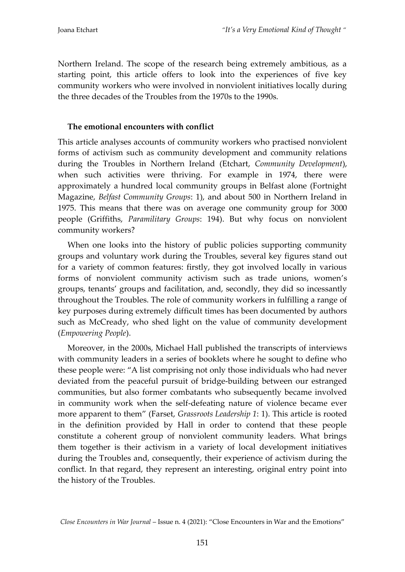Northern Ireland. The scope of the research being extremely ambitious, as a starting point, this article offers to look into the experiences of five key community workers who were involved in nonviolent initiatives locally during the three decades of the Troubles from the 1970s to the 1990s.

## **The emotional encounters with conflict**

This article analyses accounts of community workers who practised nonviolent forms of activism such as community development and community relations during the Troubles in Northern Ireland (Etchart, *Community Development*), when such activities were thriving. For example in 1974, there were approximately a hundred local community groups in Belfast alone (Fortnight Magazine, *Belfast Community Groups*: 1), and about 500 in Northern Ireland in 1975. This means that there was on average one community group for 3000 people (Griffiths, *Paramilitary Groups*: 194). But why focus on nonviolent community workers?

When one looks into the history of public policies supporting community groups and voluntary work during the Troubles, several key figures stand out for a variety of common features: firstly, they got involved locally in various forms of nonviolent community activism such as trade unions, women's groups, tenants' groups and facilitation, and, secondly, they did so incessantly throughout the Troubles. The role of community workers in fulfilling a range of key purposes during extremely difficult times has been documented by authors such as McCready, who shed light on the value of community development (*Empowering People*).

Moreover, in the 2000s, Michael Hall published the transcripts of interviews with community leaders in a series of booklets where he sought to define who these people were: "A list comprising not only those individuals who had never deviated from the peaceful pursuit of bridge-building between our estranged communities, but also former combatants who subsequently became involved in community work when the self-defeating nature of violence became ever more apparent to them" (Farset, *Grassroots Leadership 1*: 1). This article is rooted in the definition provided by Hall in order to contend that these people constitute a coherent group of nonviolent community leaders. What brings them together is their activism in a variety of local development initiatives during the Troubles and, consequently, their experience of activism during the conflict. In that regard, they represent an interesting, original entry point into the history of the Troubles.

*Close Encounters in War Journal* – Issue n. 4 (2021): "Close Encounters in War and the Emotions"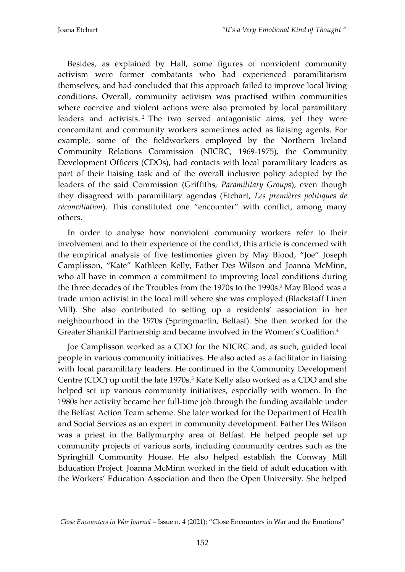Besides, as explained by Hall, some figures of nonviolent community activism were former combatants who had experienced paramilitarism themselves, and had concluded that this approach failed to improve local living conditions. Overall, community activism was practised within communities where coercive and violent actions were also promoted by local paramilitary leaders and activists. <sup>2</sup> The two served antagonistic aims, yet they were concomitant and community workers sometimes acted as liaising agents. For example, some of the fieldworkers employed by the Northern Ireland Community Relations Commission (NICRC, 1969-1975), the Community Development Officers (CDOs), had contacts with local paramilitary leaders as part of their liaising task and of the overall inclusive policy adopted by the leaders of the said Commission (Griffiths, *Paramilitary Groups*), even though they disagreed with paramilitary agendas (Etchart, *Les premières politiques de réconciliation*). This constituted one "encounter" with conflict, among many others.

In order to analyse how nonviolent community workers refer to their involvement and to their experience of the conflict, this article is concerned with the empirical analysis of five testimonies given by May Blood, "Joe" Joseph Camplisson, "Kate" Kathleen Kelly, Father Des Wilson and Joanna McMinn, who all have in common a commitment to improving local conditions during the three decades of the Troubles from the 1970s to the 1990s. <sup>3</sup> May Blood was a trade union activist in the local mill where she was employed (Blackstaff Linen Mill). She also contributed to setting up a residents' association in her neighbourhood in the 1970s (Springmartin, Belfast). She then worked for the Greater Shankill Partnership and became involved in the Women's Coalition. 4

Joe Camplisson worked as a CDO for the NICRC and, as such, guided local people in various community initiatives. He also acted as a facilitator in liaising with local paramilitary leaders. He continued in the Community Development Centre (CDC) up until the late 1970s. <sup>5</sup> Kate Kelly also worked as a CDO and she helped set up various community initiatives, especially with women. In the 1980s her activity became her full-time job through the funding available under the Belfast Action Team scheme. She later worked for the Department of Health and Social Services as an expert in community development. Father Des Wilson was a priest in the Ballymurphy area of Belfast. He helped people set up community projects of various sorts, including community centres such as the Springhill Community House. He also helped establish the Conway Mill Education Project. Joanna McMinn worked in the field of adult education with the Workers' Education Association and then the Open University. She helped

*Close Encounters in War Journal* – Issue n. 4 (2021): "Close Encounters in War and the Emotions"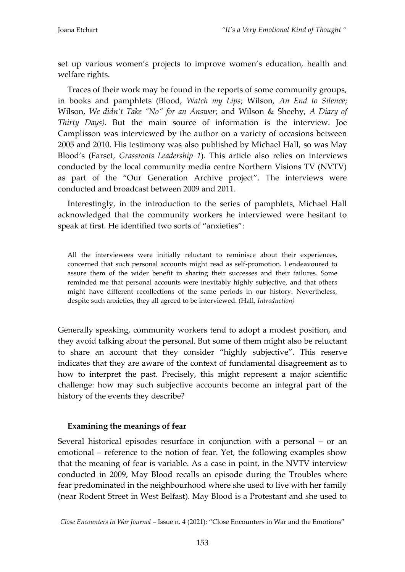set up various women's projects to improve women's education, health and welfare rights.

Traces of their work may be found in the reports of some community groups, in books and pamphlets (Blood, *Watch my Lips*; Wilson, *An End to Silence*; Wilson, *We didn't Take "No" for an Answer*; and Wilson & Sheehy, *A Diary of Thirty Days)*. But the main source of information is the interview. Joe Camplisson was interviewed by the author on a variety of occasions between 2005 and 2010. His testimony was also published by Michael Hall, so was May Blood's (Farset, *Grassroots Leadership 1*). This article also relies on interviews conducted by the local community media centre Northern Visions TV (NVTV) as part of the "Our Generation Archive project". The interviews were conducted and broadcast between 2009 and 2011.

Interestingly, in the introduction to the series of pamphlets, Michael Hall acknowledged that the community workers he interviewed were hesitant to speak at first. He identified two sorts of "anxieties":

All the interviewees were initially reluctant to reminisce about their experiences, concerned that such personal accounts might read as self-promotion. I endeavoured to assure them of the wider benefit in sharing their successes and their failures. Some reminded me that personal accounts were inevitably highly subjective, and that others might have different recollections of the same periods in our history. Nevertheless, despite such anxieties, they all agreed to be interviewed. (Hall, *Introduction)*

Generally speaking, community workers tend to adopt a modest position, and they avoid talking about the personal. But some of them might also be reluctant to share an account that they consider "highly subjective". This reserve indicates that they are aware of the context of fundamental disagreement as to how to interpret the past. Precisely, this might represent a major scientific challenge: how may such subjective accounts become an integral part of the history of the events they describe?

#### **Examining the meanings of fear**

Several historical episodes resurface in conjunction with a personal – or an emotional – reference to the notion of fear. Yet, the following examples show that the meaning of fear is variable. As a case in point, in the NVTV interview conducted in 2009, May Blood recalls an episode during the Troubles where fear predominated in the neighbourhood where she used to live with her family (near Rodent Street in West Belfast). May Blood is a Protestant and she used to

*Close Encounters in War Journal* – Issue n. 4 (2021): "Close Encounters in War and the Emotions"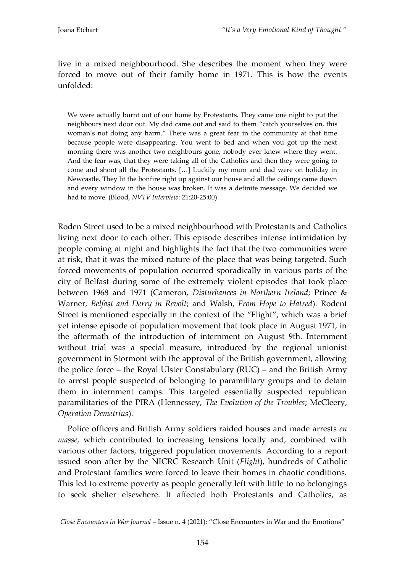live in a mixed neighbourhood. She describes the moment when they were forced to move out of their family home in 1971. This is how the events unfolded:

We were actually burnt out of our home by Protestants. They came one night to put the neighbours next door out. My dad came out and said to them "catch yourselves on, this woman's not doing any harm." There was a great fear in the community at that time because people were disappearing. You went to bed and when you got up the next morning there was another two neighbours gone, nobody ever knew where they went. And the fear was, that they were taking all of the Catholics and then they were going to come and shoot all the Protestants. [...] Luckily my mum and dad were on holiday in Newcastle. They lit the bonfire right up against our house and all the ceilings came down and every window in the house was broken. It was a definite message. We decided we had to move. (Blood, *NVTV Interview*: 21:20-25:00)

Roden Street used to be a mixed neighbourhood with Protestants and Catholics living next door to each other. This episode describes intense intimidation by people coming at night and highlights the fact that the two communities were at risk, that it was the mixed nature of the place that was being targeted. Such forced movements of population occurred sporadically in various parts of the city of Belfast during some of the extremely violent episodes that took place between 1968 and 1971 (Cameron, *Disturbances in Northern Ireland*; Prince & Warner, *Belfast and Derry in Revolt*; and Walsh, *From Hope to Hatred*). Rodent Street is mentioned especially in the context of the "Flight", which was a brief yet intense episode of population movement that took place in August 1971, in the aftermath of the introduction of internment on August 9th. Internment without trial was a special measure, introduced by the regional unionist government in Stormont with the approval of the British government, allowing the police force – the Royal Ulster Constabulary (RUC) – and the British Army to arrest people suspected of belonging to paramilitary groups and to detain them in internment camps. This targeted essentially suspected republican paramilitaries of the PIRA (Hennessey, *The Evolution of the Troubles*; McCleery, *Operation Demetrius*).

Police officers and British Army soldiers raided houses and made arrests *en masse*, which contributed to increasing tensions locally and, combined with various other factors, triggered population movements. According to a report issued soon after by the NICRC Research Unit (*Flight*), hundreds of Catholic and Protestant families were forced to leave their homes in chaotic conditions. This led to extreme poverty as people generally left with little to no belongings to seek shelter elsewhere. It affected both Protestants and Catholics, as

*Close Encounters in War Journal* – Issue n. 4 (2021): "Close Encounters in War and the Emotions"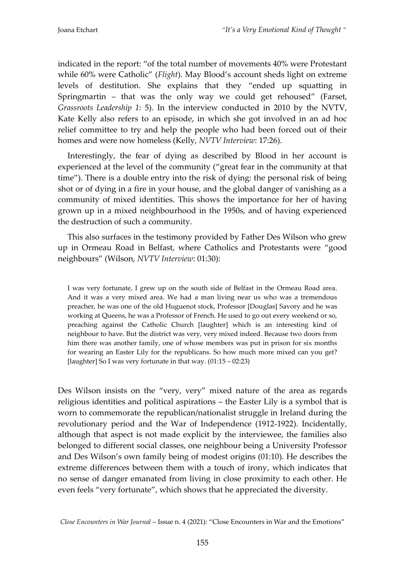indicated in the report: "of the total number of movements 40% were Protestant while 60% were Catholic" (*Flight*). May Blood's account sheds light on extreme levels of destitution. She explains that they "ended up squatting in Springmartin – that was the only way we could get rehoused" (Farset, *Grassroots Leadership 1*: 5). In the interview conducted in 2010 by the NVTV, Kate Kelly also refers to an episode, in which she got involved in an ad hoc relief committee to try and help the people who had been forced out of their homes and were now homeless (Kelly, *NVTV Interview*: 17:26).

Interestingly, the fear of dying as described by Blood in her account is experienced at the level of the community ("great fear in the community at that time"). There is a double entry into the risk of dying: the personal risk of being shot or of dying in a fire in your house, and the global danger of vanishing as a community of mixed identities. This shows the importance for her of having grown up in a mixed neighbourhood in the 1950s, and of having experienced the destruction of such a community.

This also surfaces in the testimony provided by Father Des Wilson who grew up in Ormeau Road in Belfast, where Catholics and Protestants were "good neighbours" (Wilson, *NVTV Interview*: 01:30):

I was very fortunate, I grew up on the south side of Belfast in the Ormeau Road area. And it was a very mixed area. We had a man living near us who was a tremendous preacher, he was one of the old Huguenot stock, Professor [Douglas] Savory and he was working at Queens, he was a Professor of French. He used to go out every weekend or so, preaching against the Catholic Church [laughter] which is an interesting kind of neighbour to have. But the district was very, very mixed indeed. Because two doors from him there was another family, one of whose members was put in prison for six months for wearing an Easter Lily for the republicans. So how much more mixed can you get? [laughter] So I was very fortunate in that way. (01:15 – 02:23)

Des Wilson insists on the "very, very" mixed nature of the area as regards religious identities and political aspirations – the Easter Lily is a symbol that is worn to commemorate the republican/nationalist struggle in Ireland during the revolutionary period and the War of Independence (1912-1922). Incidentally, although that aspect is not made explicit by the interviewee, the families also belonged to different social classes, one neighbour being a University Professor and Des Wilson's own family being of modest origins (01:10). He describes the extreme differences between them with a touch of irony, which indicates that no sense of danger emanated from living in close proximity to each other. He even feels "very fortunate", which shows that he appreciated the diversity.

*Close Encounters in War Journal* – Issue n. 4 (2021): "Close Encounters in War and the Emotions"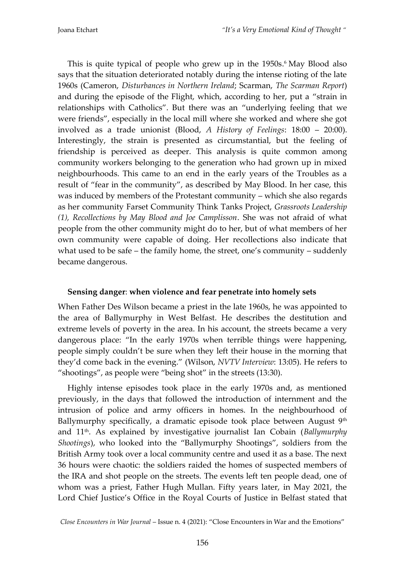This is quite typical of people who grew up in the 1950s. <sup>6</sup> May Blood also says that the situation deteriorated notably during the intense rioting of the late 1960s (Cameron, *Disturbances in Northern Ireland*; Scarman, *The Scarman Report*) and during the episode of the Flight, which, according to her, put a "strain in relationships with Catholics". But there was an "underlying feeling that we were friends", especially in the local mill where she worked and where she got involved as a trade unionist (Blood, *A History of Feelings*: 18:00 – 20:00). Interestingly, the strain is presented as circumstantial, but the feeling of friendship is perceived as deeper. This analysis is quite common among community workers belonging to the generation who had grown up in mixed neighbourhoods. This came to an end in the early years of the Troubles as a result of "fear in the community", as described by May Blood. In her case, this was induced by members of the Protestant community – which she also regards as her community Farset Community Think Tanks Project, *Grassroots Leadership (1), Recollections by May Blood and Joe Camplisson*. She was not afraid of what people from the other community might do to her, but of what members of her own community were capable of doing. Her recollections also indicate that what used to be safe – the family home, the street, one's community – suddenly became dangerous.

#### **Sensing danger**: **when violence and fear penetrate into homely sets**

When Father Des Wilson became a priest in the late 1960s, he was appointed to the area of Ballymurphy in West Belfast. He describes the destitution and extreme levels of poverty in the area. In his account, the streets became a very dangerous place: "In the early 1970s when terrible things were happening, people simply couldn't be sure when they left their house in the morning that they'd come back in the evening." (Wilson, *NVTV Interview*: 13:05). He refers to "shootings", as people were "being shot" in the streets (13:30).

Highly intense episodes took place in the early 1970s and, as mentioned previously, in the days that followed the introduction of internment and the intrusion of police and army officers in homes. In the neighbourhood of Ballymurphy specifically, a dramatic episode took place between August  $9<sup>th</sup>$ and 11th. As explained by investigative journalist Ian Cobain (*Ballymurphy Shootings*), who looked into the "Ballymurphy Shootings", soldiers from the British Army took over a local community centre and used it as a base. The next 36 hours were chaotic: the soldiers raided the homes of suspected members of the IRA and shot people on the streets. The events left ten people dead, one of whom was a priest, Father Hugh Mullan. Fifty years later, in May 2021, the Lord Chief Justice's Office in the Royal Courts of Justice in Belfast stated that

*Close Encounters in War Journal* – Issue n. 4 (2021): "Close Encounters in War and the Emotions"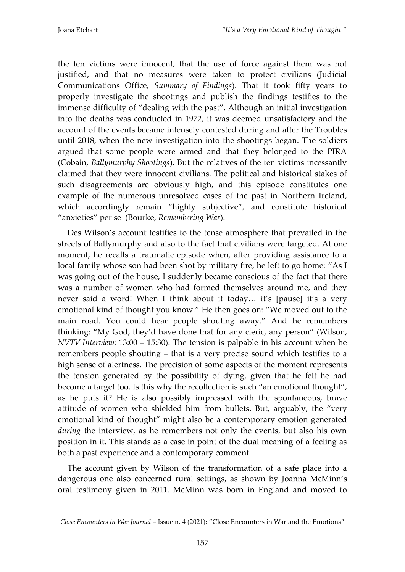the ten victims were innocent, that the use of force against them was not justified, and that no measures were taken to protect civilians (Judicial Communications Office, *Summary of Findings*). That it took fifty years to properly investigate the shootings and publish the findings testifies to the immense difficulty of "dealing with the past". Although an initial investigation into the deaths was conducted in 1972, it was deemed unsatisfactory and the account of the events became intensely contested during and after the Troubles until 2018, when the new investigation into the shootings began. The soldiers argued that some people were armed and that they belonged to the PIRA (Cobain, *Ballymurphy Shootings*). But the relatives of the ten victims incessantly claimed that they were innocent civilians. The political and historical stakes of such disagreements are obviously high, and this episode constitutes one example of the numerous unresolved cases of the past in Northern Ireland, which accordingly remain "highly subjective", and constitute historical "anxieties" per se (Bourke, *Remembering War*).

Des Wilson's account testifies to the tense atmosphere that prevailed in the streets of Ballymurphy and also to the fact that civilians were targeted. At one moment, he recalls a traumatic episode when, after providing assistance to a local family whose son had been shot by military fire, he left to go home: "As I was going out of the house, I suddenly became conscious of the fact that there was a number of women who had formed themselves around me, and they never said a word! When I think about it today… it's [pause] it's a very emotional kind of thought you know." He then goes on: "We moved out to the main road. You could hear people shouting away." And he remembers thinking: "My God, they'd have done that for any cleric, any person" (Wilson, *NVTV Interview*: 13:00 – 15:30). The tension is palpable in his account when he remembers people shouting – that is a very precise sound which testifies to a high sense of alertness. The precision of some aspects of the moment represents the tension generated by the possibility of dying, given that he felt he had become a target too. Is this why the recollection is such "an emotional thought", as he puts it? He is also possibly impressed with the spontaneous, brave attitude of women who shielded him from bullets. But, arguably, the "very emotional kind of thought" might also be a contemporary emotion generated *during* the interview, as he remembers not only the events, but also his own position in it. This stands as a case in point of the dual meaning of a feeling as both a past experience and a contemporary comment.

The account given by Wilson of the transformation of a safe place into a dangerous one also concerned rural settings, as shown by Joanna McMinn's oral testimony given in 2011. McMinn was born in England and moved to

*Close Encounters in War Journal* – Issue n. 4 (2021): "Close Encounters in War and the Emotions"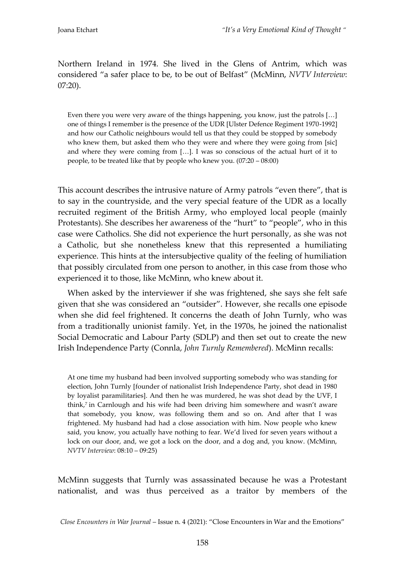Northern Ireland in 1974. She lived in the Glens of Antrim, which was considered "a safer place to be, to be out of Belfast" (McMinn, *NVTV Interview*: 07:20).

Even there you were very aware of the things happening, you know, just the patrols  $[...]$ one of things I remember is the presence of the UDR [Ulster Defence Regiment 1970-1992] and how our Catholic neighbours would tell us that they could be stopped by somebody who knew them, but asked them who they were and where they were going from [sic] and where they were coming from  $[...]$ . I was so conscious of the actual hurt of it to people, to be treated like that by people who knew you. (07:20 – 08:00)

This account describes the intrusive nature of Army patrols "even there", that is to say in the countryside, and the very special feature of the UDR as a locally recruited regiment of the British Army, who employed local people (mainly Protestants). She describes her awareness of the "hurt" to "people", who in this case were Catholics. She did not experience the hurt personally, as she was not a Catholic, but she nonetheless knew that this represented a humiliating experience. This hints at the intersubjective quality of the feeling of humiliation that possibly circulated from one person to another, in this case from those who experienced it to those, like McMinn, who knew about it.

When asked by the interviewer if she was frightened, she says she felt safe given that she was considered an "outsider". However, she recalls one episode when she did feel frightened. It concerns the death of John Turnly, who was from a traditionally unionist family. Yet, in the 1970s, he joined the nationalist Social Democratic and Labour Party (SDLP) and then set out to create the new Irish Independence Party (Connla, *John Turnly Remembered*). McMinn recalls:

At one time my husband had been involved supporting somebody who was standing for election, John Turnly [founder of nationalist Irish Independence Party, shot dead in 1980 by loyalist paramilitaries]. And then he was murdered, he was shot dead by the UVF, I think, 7 in Carnlough and his wife had been driving him somewhere and wasn't aware that somebody, you know, was following them and so on. And after that I was frightened. My husband had had a close association with him. Now people who knew said, you know, you actually have nothing to fear. We'd lived for seven years without a lock on our door, and, we got a lock on the door, and a dog and, you know. (McMinn, *NVTV Interview*: 08:10 – 09:25)

McMinn suggests that Turnly was assassinated because he was a Protestant nationalist, and was thus perceived as a traitor by members of the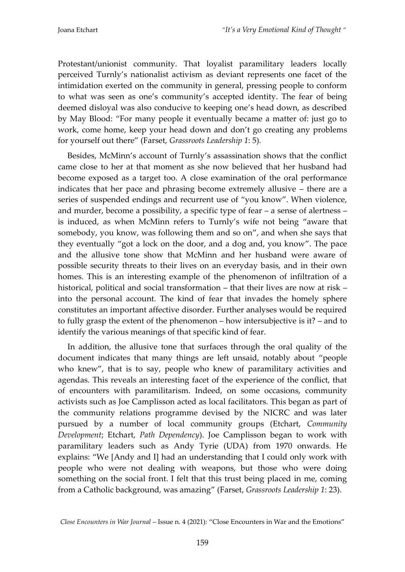Protestant/unionist community. That loyalist paramilitary leaders locally perceived Turnly's nationalist activism as deviant represents one facet of the intimidation exerted on the community in general, pressing people to conform to what was seen as one's community's accepted identity. The fear of being deemed disloyal was also conducive to keeping one's head down, as described by May Blood: "For many people it eventually became a matter of: just go to work, come home, keep your head down and don't go creating any problems for yourself out there" (Farset, *Grassroots Leadership 1*: 5).

Besides, McMinn's account of Turnly's assassination shows that the conflict came close to her at that moment as she now believed that her husband had become exposed as a target too. A close examination of the oral performance indicates that her pace and phrasing become extremely allusive – there are a series of suspended endings and recurrent use of "you know". When violence, and murder, become a possibility, a specific type of fear – a sense of alertness – is induced, as when McMinn refers to Turnly's wife not being "aware that somebody, you know, was following them and so on", and when she says that they eventually "got a lock on the door, and a dog and, you know". The pace and the allusive tone show that McMinn and her husband were aware of possible security threats to their lives on an everyday basis, and in their own homes. This is an interesting example of the phenomenon of infiltration of a historical, political and social transformation – that their lives are now at risk – into the personal account. The kind of fear that invades the homely sphere constitutes an important affective disorder. Further analyses would be required to fully grasp the extent of the phenomenon – how intersubjective is it? – and to identify the various meanings of that specific kind of fear.

In addition, the allusive tone that surfaces through the oral quality of the document indicates that many things are left unsaid, notably about "people who knew", that is to say, people who knew of paramilitary activities and agendas. This reveals an interesting facet of the experience of the conflict, that of encounters with paramilitarism. Indeed, on some occasions, community activists such as Joe Camplisson acted as local facilitators. This began as part of the community relations programme devised by the NICRC and was later pursued by a number of local community groups (Etchart, *Community Development*; Etchart, *Path Dependency*). Joe Camplisson began to work with paramilitary leaders such as Andy Tyrie (UDA) from 1970 onwards. He explains: "We [Andy and I] had an understanding that I could only work with people who were not dealing with weapons, but those who were doing something on the social front. I felt that this trust being placed in me, coming from a Catholic background, was amazing" (Farset, *Grassroots Leadership 1*: 23).

*Close Encounters in War Journal* – Issue n. 4 (2021): "Close Encounters in War and the Emotions"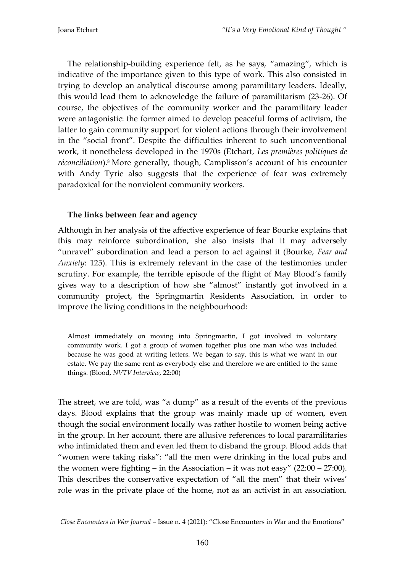The relationship-building experience felt, as he says, "amazing", which is indicative of the importance given to this type of work. This also consisted in trying to develop an analytical discourse among paramilitary leaders. Ideally, this would lead them to acknowledge the failure of paramilitarism (23-26). Of course, the objectives of the community worker and the paramilitary leader were antagonistic: the former aimed to develop peaceful forms of activism, the latter to gain community support for violent actions through their involvement in the "social front". Despite the difficulties inherent to such unconventional work, it nonetheless developed in the 1970s (Etchart, *Les premières politiques de réconciliation*). <sup>8</sup> More generally, though, Camplisson's account of his encounter with Andy Tyrie also suggests that the experience of fear was extremely paradoxical for the nonviolent community workers.

#### **The links between fear and agency**

Although in her analysis of the affective experience of fear Bourke explains that this may reinforce subordination, she also insists that it may adversely "unravel" subordination and lead a person to act against it (Bourke, *Fear and Anxiety*: 125). This is extremely relevant in the case of the testimonies under scrutiny. For example, the terrible episode of the flight of May Blood's family gives way to a description of how she "almost" instantly got involved in a community project, the Springmartin Residents Association, in order to improve the living conditions in the neighbourhood:

Almost immediately on moving into Springmartin, I got involved in voluntary community work. I got a group of women together plus one man who was included because he was good at writing letters. We began to say, this is what we want in our estate. We pay the same rent as everybody else and therefore we are entitled to the same things. (Blood, *NVTV Interview*, 22:00)

The street, we are told, was "a dump" as a result of the events of the previous days. Blood explains that the group was mainly made up of women, even though the social environment locally was rather hostile to women being active in the group. In her account, there are allusive references to local paramilitaries who intimidated them and even led them to disband the group. Blood adds that "women were taking risks": "all the men were drinking in the local pubs and the women were fighting – in the Association – it was not easy"  $(22:00 - 27:00)$ . This describes the conservative expectation of "all the men" that their wives' role was in the private place of the home, not as an activist in an association.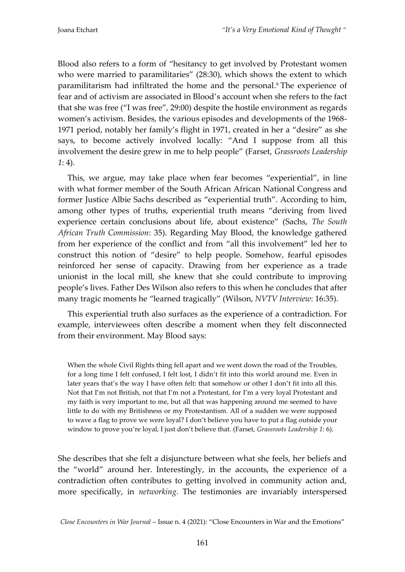Blood also refers to a form of "hesitancy to get involved by Protestant women who were married to paramilitaries" (28:30), which shows the extent to which paramilitarism had infiltrated the home and the personal. <sup>9</sup> The experience of fear and of activism are associated in Blood's account when she refers to the fact that she was free ("I was free", 29:00) despite the hostile environment as regards women's activism. Besides, the various episodes and developments of the 1968- 1971 period, notably her family's flight in 1971, created in her a "desire" as she says, to become actively involved locally: "And I suppose from all this involvement the desire grew in me to help people" (Farset, *Grassroots Leadership 1*: 4).

This, we argue, may take place when fear becomes "experiential", in line with what former member of the South African African National Congress and former Justice Albie Sachs described as "experiential truth". According to him, among other types of truths, experiential truth means "deriving from lived experience certain conclusions about life, about existence" (Sachs, *The South African Truth Commission*: 35). Regarding May Blood, the knowledge gathered from her experience of the conflict and from "all this involvement" led her to construct this notion of "desire" to help people. Somehow, fearful episodes reinforced her sense of capacity. Drawing from her experience as a trade unionist in the local mill, she knew that she could contribute to improving people's lives. Father Des Wilson also refers to this when he concludes that after many tragic moments he "learned tragically" (Wilson, *NVTV Interview*: 16:35).

This experiential truth also surfaces as the experience of a contradiction. For example, interviewees often describe a moment when they felt disconnected from their environment. May Blood says:

When the whole Civil Rights thing fell apart and we went down the road of the Troubles, for a long time I felt confused, I felt lost, I didn't fit into this world around me. Even in later years that's the way I have often felt: that somehow or other I don't fit into all this. Not that I'm not British, not that I'm not a Protestant, for I'm a very loyal Protestant and my faith is very important to me, but all that was happening around me seemed to have little to do with my Britishness or my Protestantism. All of a sudden we were supposed to wave a flag to prove we were loyal? I don't believe you have to put a flag outside your window to prove you're loyal, I just don't believe that. (Farset, *Grassroots Leadership 1*: 6).

She describes that she felt a disjuncture between what she feels, her beliefs and the "world" around her. Interestingly, in the accounts, the experience of a contradiction often contributes to getting involved in community action and, more specifically, in *networking*. The testimonies are invariably interspersed

*Close Encounters in War Journal* – Issue n. 4 (2021): "Close Encounters in War and the Emotions"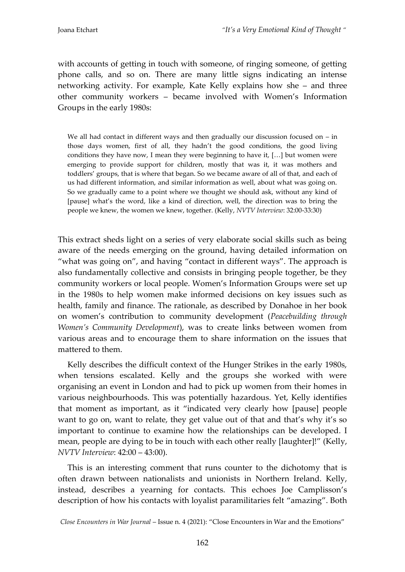with accounts of getting in touch with someone, of ringing someone, of getting phone calls, and so on. There are many little signs indicating an intense networking activity. For example, Kate Kelly explains how she – and three other community workers – became involved with Women's Information Groups in the early 1980s:

We all had contact in different ways and then gradually our discussion focused on  $-$  in those days women, first of all, they hadn't the good conditions, the good living conditions they have now, I mean they were beginning to have it,  $[...]$  but women were emerging to provide support for children, mostly that was it, it was mothers and toddlers' groups, that is where that began. So we became aware of all of that, and each of us had different information, and similar information as well, about what was going on. So we gradually came to a point where we thought we should ask, without any kind of [pause] what's the word, like a kind of direction, well, the direction was to bring the people we knew, the women we knew, together. (Kelly, *NVTV Interview*: 32:00-33:30)

This extract sheds light on a series of very elaborate social skills such as being aware of the needs emerging on the ground, having detailed information on "what was going on", and having "contact in different ways". The approach is also fundamentally collective and consists in bringing people together, be they community workers or local people. Women's Information Groups were set up in the 1980s to help women make informed decisions on key issues such as health, family and finance. The rationale, as described by Donahoe in her book on women's contribution to community development (*Peacebuilding through Women's Community Development*), was to create links between women from various areas and to encourage them to share information on the issues that mattered to them.

Kelly describes the difficult context of the Hunger Strikes in the early 1980s, when tensions escalated. Kelly and the groups she worked with were organising an event in London and had to pick up women from their homes in various neighbourhoods. This was potentially hazardous. Yet, Kelly identifies that moment as important, as it "indicated very clearly how [pause] people want to go on, want to relate, they get value out of that and that's why it's so important to continue to examine how the relationships can be developed. I mean, people are dying to be in touch with each other really [laughter]!" (Kelly, *NVTV Interview*: 42:00 – 43:00).

This is an interesting comment that runs counter to the dichotomy that is often drawn between nationalists and unionists in Northern Ireland. Kelly, instead, describes a yearning for contacts. This echoes Joe Camplisson's description of how his contacts with loyalist paramilitaries felt "amazing". Both

*Close Encounters in War Journal* – Issue n. 4 (2021): "Close Encounters in War and the Emotions"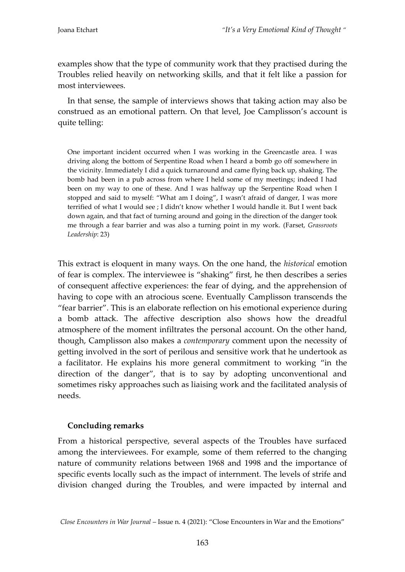examples show that the type of community work that they practised during the Troubles relied heavily on networking skills, and that it felt like a passion for most interviewees.

In that sense, the sample of interviews shows that taking action may also be construed as an emotional pattern. On that level, Joe Camplisson's account is quite telling:

One important incident occurred when I was working in the Greencastle area. I was driving along the bottom of Serpentine Road when I heard a bomb go off somewhere in the vicinity. Immediately I did a quick turnaround and came flying back up, shaking. The bomb had been in a pub across from where I held some of my meetings; indeed I had been on my way to one of these. And I was halfway up the Serpentine Road when I stopped and said to myself: "What am I doing", I wasn't afraid of danger, I was more terrified of what I would see ; I didn't know whether I would handle it. But I went back down again, and that fact of turning around and going in the direction of the danger took me through a fear barrier and was also a turning point in my work. (Farset, *Grassroots Leadership*: 23)

This extract is eloquent in many ways. On the one hand, the *historical* emotion of fear is complex. The interviewee is "shaking" first, he then describes a series of consequent affective experiences: the fear of dying, and the apprehension of having to cope with an atrocious scene. Eventually Camplisson transcends the "fear barrier". This is an elaborate reflection on his emotional experience during a bomb attack. The affective description also shows how the dreadful atmosphere of the moment infiltrates the personal account. On the other hand, though, Camplisson also makes a *contemporary* comment upon the necessity of getting involved in the sort of perilous and sensitive work that he undertook as a facilitator. He explains his more general commitment to working "in the direction of the danger", that is to say by adopting unconventional and sometimes risky approaches such as liaising work and the facilitated analysis of needs.

#### **Concluding remarks**

From a historical perspective, several aspects of the Troubles have surfaced among the interviewees. For example, some of them referred to the changing nature of community relations between 1968 and 1998 and the importance of specific events locally such as the impact of internment. The levels of strife and division changed during the Troubles, and were impacted by internal and

*Close Encounters in War Journal* – Issue n. 4 (2021): "Close Encounters in War and the Emotions"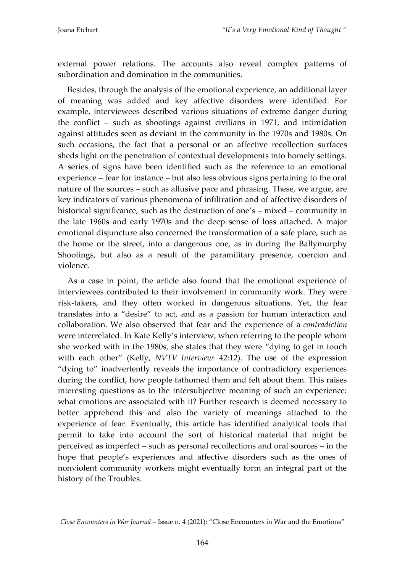external power relations. The accounts also reveal complex patterns of subordination and domination in the communities.

Besides, through the analysis of the emotional experience, an additional layer of meaning was added and key affective disorders were identified. For example, interviewees described various situations of extreme danger during the conflict – such as shootings against civilians in 1971, and intimidation against attitudes seen as deviant in the community in the 1970s and 1980s. On such occasions, the fact that a personal or an affective recollection surfaces sheds light on the penetration of contextual developments into homely settings. A series of signs have been identified such as the reference to an emotional experience – fear for instance – but also less obvious signs pertaining to the oral nature of the sources – such as allusive pace and phrasing. These, we argue, are key indicators of various phenomena of infiltration and of affective disorders of historical significance, such as the destruction of one's – mixed – community in the late 1960s and early 1970s and the deep sense of loss attached. A major emotional disjuncture also concerned the transformation of a safe place, such as the home or the street, into a dangerous one, as in during the Ballymurphy Shootings, but also as a result of the paramilitary presence, coercion and violence.

As a case in point, the article also found that the emotional experience of interviewees contributed to their involvement in community work. They were risk-takers, and they often worked in dangerous situations. Yet, the fear translates into a "desire" to act, and as a passion for human interaction and collaboration. We also observed that fear and the experience of a *contradiction* were interrelated. In Kate Kelly's interview, when referring to the people whom she worked with in the 1980s, she states that they were "dying to get in touch with each other" (Kelly, *NVTV Interview*: 42:12). The use of the expression "dying to" inadvertently reveals the importance of contradictory experiences during the conflict, how people fathomed them and felt about them. This raises interesting questions as to the intersubjective meaning of such an experience: what emotions are associated with it? Further research is deemed necessary to better apprehend this and also the variety of meanings attached to the experience of fear. Eventually, this article has identified analytical tools that permit to take into account the sort of historical material that might be perceived as imperfect – such as personal recollections and oral sources – in the hope that people's experiences and affective disorders such as the ones of nonviolent community workers might eventually form an integral part of the history of the Troubles.

*Close Encounters in War Journal* – Issue n. 4 (2021): "Close Encounters in War and the Emotions"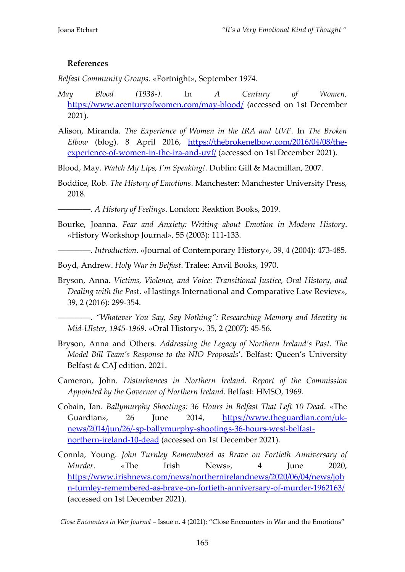## **References**

*Belfast Community Groups*. «Fortnight», September 1974.

- *May Blood (1938-)*. In *A Century of Women,*  <https://www.acenturyofwomen.com/may-blood/> (accessed on 1st December 2021).
- Alison, Miranda. *The Experience of Women in the IRA and UVF*. In *The Broken Elbow* (blog). 8 April 2016, [https://thebrokenelbow.com/2016/04/08/the](https://thebrokenelbow.com/2016/04/08/the-experience-of-women-in-the-ira-and-uvf/)[experience-of-women-in-the-ira-and-uvf/](https://thebrokenelbow.com/2016/04/08/the-experience-of-women-in-the-ira-and-uvf/) (accessed on 1st December 2021).

Blood, May. *Watch My Lips, I'm Speaking!*. Dublin: Gill & Macmillan, 2007.

- Boddice, Rob. *The History of Emotions*. Manchester: Manchester University Press, 2018.
- ――――. *A History of Feelings*. London: Reaktion Books, 2019.
- Bourke, Joanna. *Fear and Anxiety: Writing about Emotion in Modern History*. «History Workshop Journal», 55 (2003): 111-133.

――――. *Introduction*. «Journal of Contemporary History», 39, 4 (2004): 473-485.

Boyd, Andrew. *Holy War in Belfast*. Tralee: Anvil Books, 1970.

Bryson, Anna. *Victims, Violence, and Voice: Transitional Justice, Oral History, and Dealing with the Pas*t. «Hastings International and Comparative Law Review», 39, 2 (2016): 299-354.

――――. *"Whatever You Say, Say Nothing": Researching Memory and Identity in Mid-Ulster, 1945-1969*. «Oral History»*,* 35, 2 (2007): 45-56.

- Bryson, Anna and Others. *Addressing the Legacy of Northern Ireland's Past. The Model Bill Team's Response to the NIO Proposals*'. Belfast: Queen's University Belfast & CAJ edition, 2021.
- Cameron, John. *Disturbances in Northern Ireland. Report of the Commission Appointed by the Governor of Northern Ireland*. Belfast: HMSO, 1969.
- Cobain, Ian. *Ballymurphy Shootings: 36 Hours in Belfast That Left 10 Dead*. «The Guardian», 26 June 2014, [https://www.theguardian.com/uk](https://www.theguardian.com/uk-news/2014/jun/26/-sp-ballymurphy-shootings-36-hours-west-belfast-northern-ireland-10-dead)[news/2014/jun/26/-sp-ballymurphy-shootings-36-hours-west-belfast](https://www.theguardian.com/uk-news/2014/jun/26/-sp-ballymurphy-shootings-36-hours-west-belfast-northern-ireland-10-dead)[northern-ireland-10-dead](https://www.theguardian.com/uk-news/2014/jun/26/-sp-ballymurphy-shootings-36-hours-west-belfast-northern-ireland-10-dead) (accessed on 1st December 2021).
- Connla, Young. *John Turnley Remembered as Brave on Fortieth Anniversary of Murder*. «The Irish News», 4 June 2020, [https://www.irishnews.com/news/northernirelandnews/2020/06/04/news/joh](https://www.irishnews.com/news/northernirelandnews/2020/06/04/news/john-turnley-remembered-as-brave-on-fortieth-anniversary-of-murder-1962163/) [n-turnley-remembered-as-brave-on-fortieth-anniversary-of-murder-1962163/](https://www.irishnews.com/news/northernirelandnews/2020/06/04/news/john-turnley-remembered-as-brave-on-fortieth-anniversary-of-murder-1962163/) (accessed on 1st December 2021).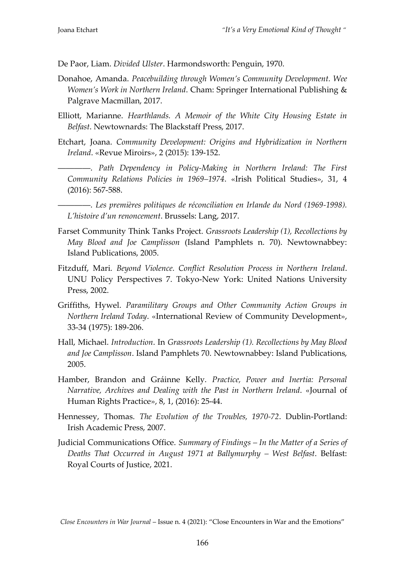De Paor, Liam. *Divided Ulster*. Harmondsworth: Penguin, 1970.

- Donahoe, Amanda. *Peacebuilding through Women's Community Development. Wee Women's Work in Northern Ireland*. Cham: Springer International Publishing & Palgrave Macmillan, 2017.
- Elliott, Marianne. *Hearthlands. A Memoir of the White City Housing Estate in Belfast*. Newtownards: The Blackstaff Press, 2017.
- Etchart, Joana. *Community Development: Origins and Hybridization in Northern Ireland*. «Revue Miroirs», 2 (2015): 139-152.

――――. *Path Dependency in Policy-Making in Northern Ireland: The First Community Relations Policies in 1969–1974*. «Irish Political Studies», 31, 4 (2016): 567-588.

――――. *Les premières politiques de réconciliation en Irlande du Nord (1969-1998). L'histoire d'un renoncement*. Brussels: Lang, 2017.

- Farset Community Think Tanks Project. *Grassroots Leadership (1), Recollections by May Blood and Joe Camplisson* (Island Pamphlets n. 70). Newtownabbey: Island Publications, 2005.
- Fitzduff, Mari. *Beyond Violence. Conflict Resolution Process in Northern Ireland*. UNU Policy Perspectives 7. Tokyo-New York: United Nations University Press, 2002.
- Griffiths, Hywel. *Paramilitary Groups and Other Community Action Groups in Northern Ireland Today*. «International Review of Community Development», 33-34 (1975): 189-206.
- Hall, Michael. *Introduction*. In *Grassroots Leadership (1). Recollections by May Blood and Joe Camplisson*. Island Pamphlets 70. Newtownabbey: Island Publications, 2005.
- Hamber, Brandon and Gráinne Kelly. *Practice, Power and Inertia: Personal Narrative, Archives and Dealing with the Past in Northern Ireland*. «Journal of Human Rights Practice», 8, 1, (2016): 25-44.
- Hennessey, Thomas. *The Evolution of the Troubles, 1970-72*. Dublin-Portland: Irish Academic Press, 2007.
- Judicial Communications Office. *Summary of Findings – In the Matter of a Series of Deaths That Occurred in August 1971 at Ballymurphy – West Belfast*. Belfast: Royal Courts of Justice, 2021.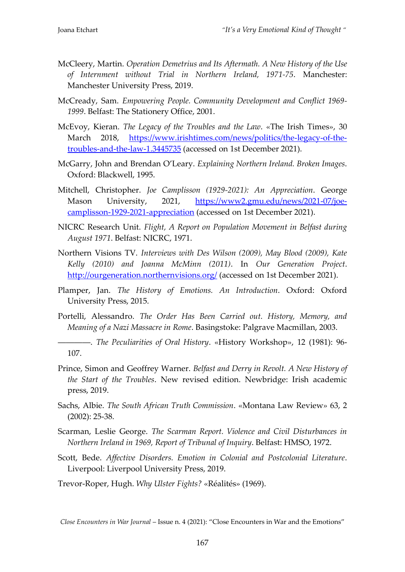- McCleery, Martin. *Operation Demetrius and Its Aftermath. A New History of the Use of Internment without Trial in Northern Ireland, 1971-75*. Manchester: Manchester University Press, 2019.
- McCready, Sam. *Empowering People. Community Development and Conflict 1969- 1999*. Belfast: The Stationery Office, 2001.
- McEvoy, Kieran. *The Legacy of the Troubles and the Law*. «The Irish Times», 30 March 2018, [https://www.irishtimes.com/news/politics/the-legacy-of-the](https://www.irishtimes.com/news/politics/the-legacy-of-the-troubles-and-the-law-1.3445735)[troubles-and-the-law-1.3445735](https://www.irishtimes.com/news/politics/the-legacy-of-the-troubles-and-the-law-1.3445735) (accessed on 1st December 2021).
- McGarry, John and Brendan O'Leary. *Explaining Northern Ireland. Broken Images*. Oxford: Blackwell, 1995.
- Mitchell, Christopher. *Joe Camplisson (1929-2021): An Appreciation*. George Mason University, 2021, [https://www2.gmu.edu/news/2021-07/joe](https://www2.gmu.edu/news/2021-07/joe-camplisson-1929-2021-appreciation)[camplisson-1929-2021-appreciation](https://www2.gmu.edu/news/2021-07/joe-camplisson-1929-2021-appreciation) (accessed on 1st December 2021).
- NICRC Research Unit. *Flight, A Report on Population Movement in Belfast during August 1971*. Belfast: NICRC, 1971.
- Northern Visions TV. *Interviews with Des Wilson (2009), May Blood (2009), Kate Kelly (2010) and Joanna McMinn (2011)*. In *Our Generation Project*. <http://ourgeneration.northernvisions.org/> (accessed on 1st December 2021).
- Plamper, Jan. *The History of Emotions. An Introduction*. Oxford: Oxford University Press, 2015.
- Portelli, Alessandro. *The Order Has Been Carried out. History, Memory, and Meaning of a Nazi Massacre in Rome*. Basingstoke: Palgrave Macmillan, 2003.

――――. *The Peculiarities of Oral History*. «History Workshop», 12 (1981): 96- 107.

- Prince, Simon and Geoffrey Warner. *Belfast and Derry in Revolt. A New History of the Start of the Troubles*. New revised edition. Newbridge: Irish academic press, 2019.
- Sachs, Albie. *The South African Truth Commission*. «Montana Law Review» 63, 2 (2002): 25-38.
- Scarman, Leslie George. *The Scarman Report. Violence and Civil Disturbances in Northern Ireland in 1969, Report of Tribunal of Inquiry*. Belfast: HMSO, 1972.
- Scott, Bede. *Affective Disorders. Emotion in Colonial and Postcolonial Literature*. Liverpool: Liverpool University Press, 2019.
- Trevor-Roper, Hugh. *Why Ulster Fights?* «Réalités» (1969).